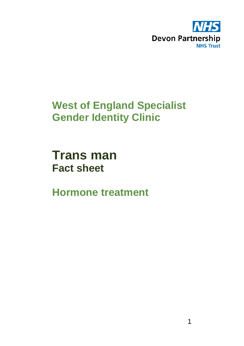

# **West of England Specialist Gender Identity Clinic**

**Trans man Fact sheet** 

**Hormone treatment**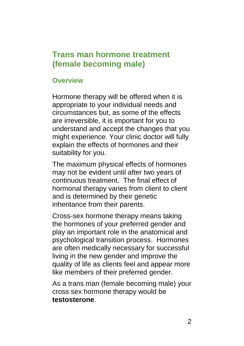## **Trans man hormone treatment (female becoming male)**

#### **Overview**

Hormone therapy will be offered when it is appropriate to your individual needs and circumstances but, as some of the effects are irreversible, it is important for you to understand and accept the changes that you might experience. Your clinic doctor will fully explain the effects of hormones and their suitability for you.

The maximum physical effects of hormones may not be evident until after two years of continuous treatment. The final effect of hormonal therapy varies from client to client and is determined by their genetic inheritance from their parents.

Cross-sex hormone therapy means taking the hormones of your preferred gender and play an important role in the anatomical and psychological transition process. Hormones are often medically necessary for successful living in the new gender and improve the quality of life as clients feel and appear more like members of their preferred gender.

As a trans man (female becoming male) your cross sex hormone therapy would be **testosterone**.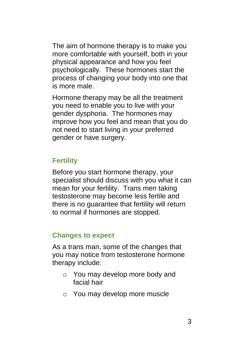The aim of hormone therapy is to make you more comfortable with yourself, both in your physical appearance and how you feel psychologically. These hormones start the process of changing your body into one that is more male.

Hormone therapy may be all the treatment you need to enable you to live with your gender dysphoria. The hormones may improve how you feel and mean that you do not need to start living in your preferred gender or have surgery.

### **Fertility**

Before you start hormone therapy, your specialist should discuss with you what it can mean for your fertility. Trans men taking testosterone may become less fertile and there is no guarantee that fertility will return to normal if hormones are stopped.

#### **Changes to expect**

As a trans man, some of the changes that you may notice from testosterone hormone therapy include:

- o You may develop more body and facial hair
- o You may develop more muscle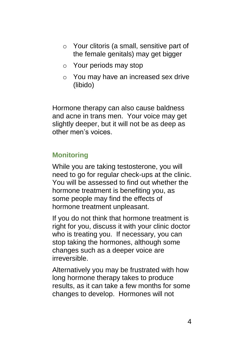- o Your clitoris (a small, sensitive part of the female genitals) may get bigger
- o Your periods may stop
- o You may have an increased sex drive (libido)

Hormone therapy can also cause baldness and acne in trans men. Your voice may get slightly deeper, but it will not be as deep as other men's voices.

### **Monitoring**

While you are taking testosterone, you will need to go for regular check-ups at the clinic. You will be assessed to find out whether the hormone treatment is benefiting you, as some people may find the effects of hormone treatment unpleasant.

If you do not think that hormone treatment is right for you, discuss it with your clinic doctor who is treating you. If necessary, you can stop taking the hormones, although some changes such as a deeper voice are irreversible.

Alternatively you may be frustrated with how long hormone therapy takes to produce results, as it can take a few months for some changes to develop. Hormones will not